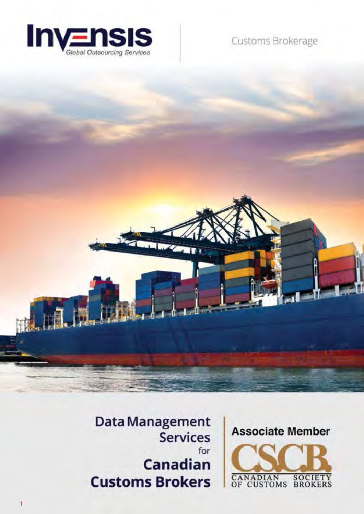

Customs Brokerage





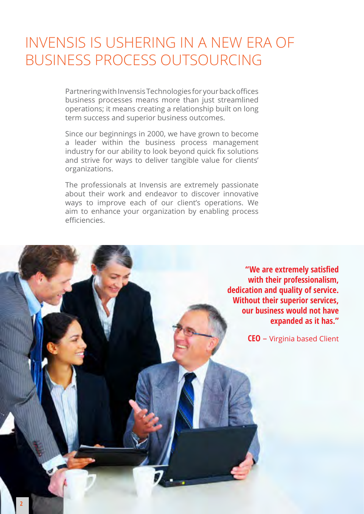# Invensis is ushering in a new era of Business Process outsourcing

Partnering with Invensis Technologies for your back offices business processes means more than just streamlined operations; it means creating a relationship built on long term success and superior business outcomes.

Since our beginnings in 2000, we have grown to become a leader within the business process management industry for our ability to look beyond quick fix solutions and strive for ways to deliver tangible value for clients' organizations.

The professionals at Invensis are extremely passionate about their work and endeavor to discover innovative ways to improve each of our client's operations. We aim to enhance your organization by enabling process efficiencies.

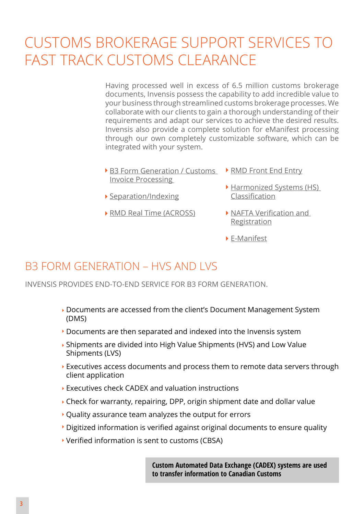# Customs brokerage support services to fast track customs clearance

Having processed well in excess of 6.5 million customs brokerage documents, Invensis possess the capability to add incredible value to your business through streamlined customs brokerage processes. We collaborate with our clients to gain a thorough understanding of their requirements and adapt our services to achieve the desired results. Invensis also provide a complete solution for eManifest processing through our own completely customizable software, which can be integrated with your system.

- [B3 Form Generation / Customs](http://www.invensis.net/industries/customs-brokerage/B3-form-generation.php) > [RMD Front End Entry](http://www.invensis.net/industries/customs-brokerage/customs-invoice-processing.php) [Invoice Processing](http://www.invensis.net/industries/customs-brokerage/B3-form-generation.php) 
	-
	- **Harmonized Systems (HS)** [Classification](http://www.invensis.net/industries/customs-brokerage/customs-invoice-processing.php)
- [RMD Real Time \(ACROSS\)](http://www.invensis.net/industries/customs-brokerage/customs-invoice-processing.php)

[Separation/Indexing](http://www.invensis.net/industries/customs-brokerage/customs-invoice-processing.php)

- [NAFTA Verification and](http://www.invensis.net/industries/customs-brokerage/customs-invoice-processing.php)  **[Registration](http://www.invensis.net/industries/customs-brokerage/customs-invoice-processing.php)**
- E-Manifest

### B3 Form Generation – HVS and LVS

Invensis provides end-to-end service for B3 Form generation.

- Documents are accessed from the client's Document Management System (DMS)
- Documents are then separated and indexed into the Invensis system
- Shipments are divided into High Value Shipments (HVS) and Low Value Shipments (LVS)
- Executives access documents and process them to remote data servers through client application
- Executives check CADEX and valuation instructions
- Check for warranty, repairing, DPP, origin shipment date and dollar value
- Quality assurance team analyzes the output for errors
- Digitized information is verified against original documents to ensure quality
- Verified information is sent to customs (CBSA)

**Custom Automated Data Exchange (CADEX) systems are used to transfer information to Canadian Customs**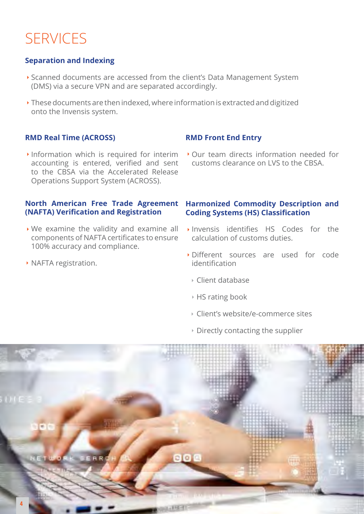# **SERVICES**

### **Separation and Indexing**

- Scanned documents are accessed from the client's Data Management System (DMS) via a secure VPN and are separated accordingly.
- These documents are then indexed, where information is extracted and digitized onto the Invensis system.

#### **RMD Real Time (ACROSS)**

 $\cdot$  Information which is required for interim accounting is entered, verified and sent to the CBSA via the Accelerated Release Operations Support System (ACROSS).

#### **North American Free Trade Agreement (NAFTA) Verification and Registration**

- We examine the validity and examine all components of NAFTA certificates to ensure 100% accuracy and compliance.
- **NAFTA registration.**

#### **RMD Front End Entry**

Our team directs information needed for customs clearance on LVS to the CBSA.

#### **Harmonized Commodity Description and Coding Systems (HS) Classification**

- Invensis identifies HS Codes for the calculation of customs duties.
- Different sources are used for code identification
	- Client database
	- HS rating book
	- Client's website/e-commerce sites
- $\triangleright$  Directly contacting the supplier

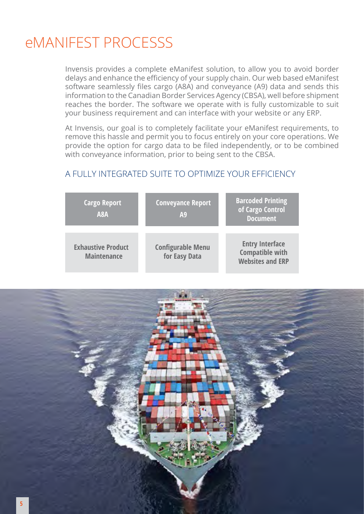# eMANIFEST PROCESSS

Invensis provides a complete eManifest solution, to allow you to avoid border delays and enhance the efficiency of your supply chain. Our web based eManifest software seamlessly files cargo (A8A) and conveyance (A9) data and sends this information to the Canadian Border Services Agency (CBSA), well before shipment reaches the border. The software we operate with is fully customizable to suit your business requirement and can interface with your website or any ERP.

At Invensis, our goal is to completely facilitate your eManifest requirements, to remove this hassle and permit you to focus entirely on your core operations. We provide the option for cargo data to be filed independently, or to be combined with conveyance information, prior to being sent to the CBSA.

#### A fully integrated suite to optimize your efficiency

| <b>Cargo Report</b><br>A <sub>8</sub> A         | <b>Conveyance Report</b><br>A <sub>9</sub> | <b>Barcoded Printing</b><br>of Cargo Control<br><b>Document</b>             |
|-------------------------------------------------|--------------------------------------------|-----------------------------------------------------------------------------|
| <b>Exhaustive Product</b><br><b>Maintenance</b> | <b>Configurable Menu</b><br>for Easy Data  | <b>Entry Interface</b><br><b>Compatible with</b><br><b>Websites and ERP</b> |

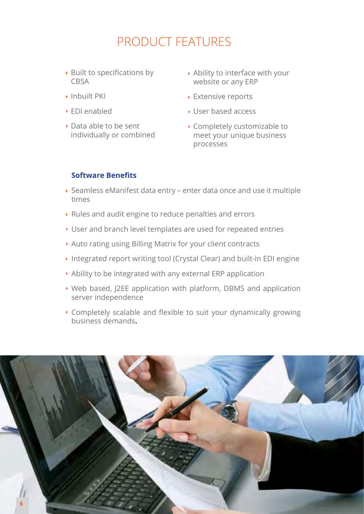## Product Features

- $\rightarrow$  Built to specifications by CBSA
- Inbuilt PKI
- EDI enabled
- Data able to be sent individually or combined
- Ability to interface with your website or any ERP
- **Extensive reports**
- User based access
- Completely customizable to meet your unique business processes

#### **Software Benefits**

- Seamless eManifest data entry enter data once and use it multiple times
- Rules and audit engine to reduce penalties and errors
- User and branch level templates are used for repeated entries
- Auto rating using Billing Matrix for your client contracts
- ▶ Integrated report writing tool (Crystal Clear) and built-in EDI engine
- Ability to be integrated with any external ERP application
- Web based, J2EE application with platform, DBMS and application server independence
- Completely scalable and flexible to suit your dynamically growing business demands**.**

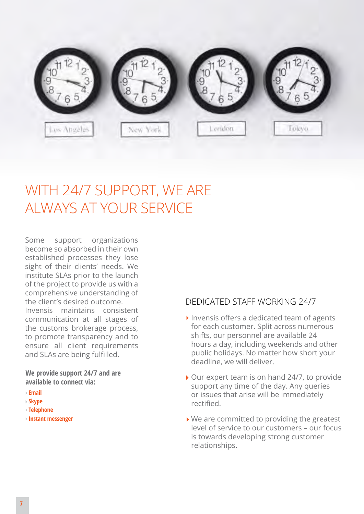

# WITH 24/7 SUPPORT, WE ARE always at your service

Some support organizations become so absorbed in their own established processes they lose sight of their clients' needs. We institute SLAs prior to the launch of the project to provide us with a comprehensive understanding of the client's desired outcome. Invensis maintains consistent communication at all stages of the customs brokerage process, to promote transparency and to ensure all client requirements and SLAs are being fulfilled.

**We provide support 24/7 and are available to connect via:**

- **Email**
- **Skype**
- **Telephone**
- **Instant messenger**

#### Dedicated Staff Working 24/7

- $\blacktriangleright$  Invensis offers a dedicated team of agents for each customer. Split across numerous shifts, our personnel are available 24 hours a day, including weekends and other public holidays. No matter how short your deadline, we will deliver.
- ▶ Our expert team is on hand 24/7, to provide support any time of the day. Any queries or issues that arise will be immediately rectified.
- ▶ We are committed to providing the greatest level of service to our customers – our focus is towards developing strong customer relationships.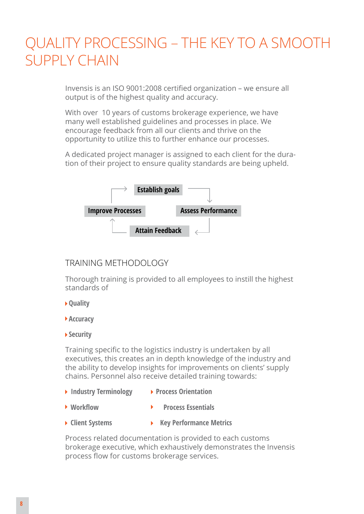# Quality processing – the key to a smooth supply chain

Invensis is an ISO 9001:2008 certified organization – we ensure all output is of the highest quality and accuracy.

With over 10 years of customs brokerage experience, we have many well established guidelines and processes in place. We encourage feedback from all our clients and thrive on the opportunity to utilize this to further enhance our processes.

A dedicated project manager is assigned to each client for the duration of their project to ensure quality standards are being upheld.



#### TRAINING METHODOLOGY

Thorough training is provided to all employees to instill the highest standards of

- **Quality**
- **▶ Accuracy**
- **Security**

Training specific to the logistics industry is undertaken by all executives, this creates an in depth knowledge of the industry and the ability to develop insights for improvements on clients' supply chains. Personnel also receive detailed training towards:

- ▶ Industry Terminology ▶ Process Orientation
- ▶ Workflow ▶ Process Essentials
- **Client Systems Key Performance Metrics**

Process related documentation is provided to each customs brokerage executive, which exhaustively demonstrates the Invensis process flow for customs brokerage services.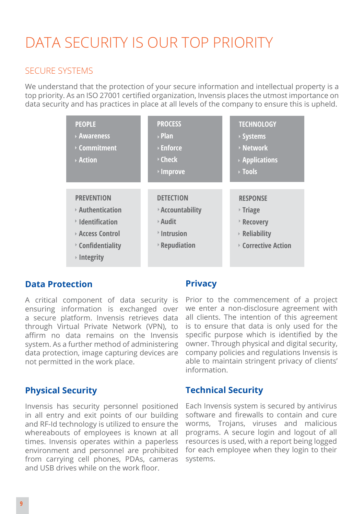# Data security is our top priority

#### Secure Systems

We understand that the protection of your secure information and intellectual property is a top priority. As an ISO 27001 certified organization, Invensis places the utmost importance on data security and has practices in place at all levels of the company to ensure this is upheld.

| <b>PEOPLE</b><br>▶ Awareness<br><b>▶ Commitment</b><br>▶ Action                                                                                               | <b>PROCESS</b><br>$\triangleright$ Plan<br><b>▶ Enforce</b><br><b>▶ Check</b><br><b>▶ Improve</b>        | <b>TECHNOLOGY</b><br>▶ Systems<br>▶ Network<br>$\triangleright$ Applications<br><b>▶ Tools</b>            |
|---------------------------------------------------------------------------------------------------------------------------------------------------------------|----------------------------------------------------------------------------------------------------------|-----------------------------------------------------------------------------------------------------------|
| <b>PREVENTION</b><br>$\triangleright$ Authentication<br><b>▶ Identification</b><br>▶ Access Control<br><b>▶ Confidentiality</b><br>$\triangleright$ Integrity | <b>DETECTION</b><br><b>Accountability</b><br><b>▶ Audit</b><br>Intrusion<br>$\triangleright$ Repudiation | <b>RESPONSE</b><br><b>▶ Triage</b><br><b>Recovery</b><br><b>Reliability</b><br><b>▶ Corrective Action</b> |

#### **Data Protection**

A critical component of data security is ensuring information is exchanged over a secure platform. Invensis retrieves data through Virtual Private Network (VPN), to affirm no data remains on the Invensis system. As a further method of administering data protection, image capturing devices are not permitted in the work place.

#### **Privacy**

Prior to the commencement of a project we enter a non-disclosure agreement with all clients. The intention of this agreement is to ensure that data is only used for the specific purpose which is identified by the owner. Through physical and digital security, company policies and regulations Invensis is able to maintain stringent privacy of clients' information.

#### **Physical Security**

Invensis has security personnel positioned in all entry and exit points of our building and RF-Id technology is utilized to ensure the whereabouts of employees is known at all times. Invensis operates within a paperless environment and personnel are prohibited from carrying cell phones, PDAs, cameras and USB drives while on the work floor.

#### **Technical Security**

Each Invensis system is secured by antivirus software and firewalls to contain and cure worms, Trojans, viruses and malicious programs. A secure login and logout of all resources is used, with a report being logged for each employee when they login to their systems.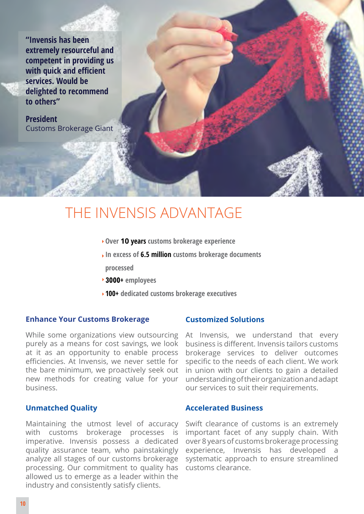**"Invensis has been extremely resourceful and competent in providing us with quick and efficient services. Would be delighted to recommend to others"**

**President**  Customs Brokerage Giant

# The Invensis Advantage

- **Over 10 years customs brokerage experience**
- **In excess of 6.5 million customs brokerage documents**
- **processed**
- **3000+ employees**
- **100+ dedicated customs brokerage executives**

#### **Enhance Your Customs Brokerage**

While some organizations view outsourcing purely as a means for cost savings, we look at it as an opportunity to enable process efficiencies. At Invensis, we never settle for the bare minimum, we proactively seek out new methods for creating value for your business.

#### **Unmatched Quality**

Maintaining the utmost level of accuracy with customs brokerage processes is imperative. Invensis possess a dedicated quality assurance team, who painstakingly analyze all stages of our customs brokerage processing. Our commitment to quality has allowed us to emerge as a leader within the industry and consistently satisfy clients.

#### **Customized Solutions**

At Invensis, we understand that every business is different. Invensis tailors customs brokerage services to deliver outcomes specific to the needs of each client. We work in union with our clients to gain a detailed understanding of their organization and adapt our services to suit their requirements.

#### **Accelerated Business**

Swift clearance of customs is an extremely important facet of any supply chain. With over 8 years of customs brokerage processing experience, Invensis has developed a systematic approach to ensure streamlined customs clearance.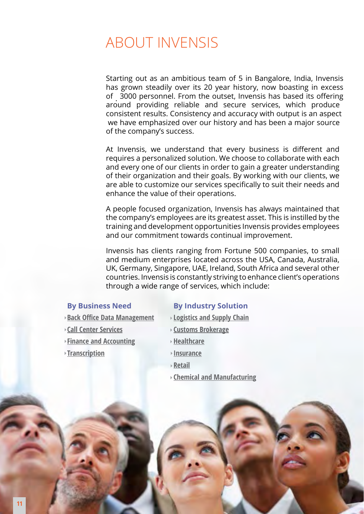## About Invensis

. of 3000 personnel. From the outset, Invensis has based its offering Starting out as an ambitious team of 5 in Bangalore, India, Invensis has grown steadily over its 20 year history, now boasting in excess around providing reliable and secure services, which produce consistent results. Consistency and accuracy with output is an aspect we have emphasized over our history and has been a major source of the company's success.

At Invensis, we understand that every business is different and requires a personalized solution. We choose to collaborate with each and every one of our clients in order to gain a greater understanding of their organization and their goals. By working with our clients, we are able to customize our services specifically to suit their needs and enhance the value of their operations.

A people focused organization, Invensis has always maintained that the company's employees are its greatest asset. This is instilled by the training and development opportunities Invensis provides employees and our commitment towards continual improvement.

Invensis has clients ranging from Fortune 500 companies, to small and medium enterprises located across the USA, Canada, Australia, UK, Germany, Singapore, UAE, Ireland, South Africa and several other countries. Invensis is constantly striving to enhance client's operations through a wide range of services, which include:

- **Back Office Data Management**
- 
- **[Finance and Accounting](http://www.invensis.net/outsourcing-services/finance-and-accounting.php)**
- **[Transcription](http://www.invensis.net/outsourcing-services/transcription-services.php) [Insurance](http://www.invensis.net/industries/insurance-bpo.php)**

#### **Data Management Call Center Services By Business Need By Industry Solution**

- **EQUE LOGISTICS AND SUPPLY CHAIN Finance and Accounting MSDS Classification**
- **ISBNCENTER SERVICES** 
	- **Healthcare**
	-
	- **[Retail](http://www.invensis.net/industries/retail.php)**
	- **[Chemical and Manufacturing](http://www.invensis.net/industries/chemical-and-manufacturing.php)**